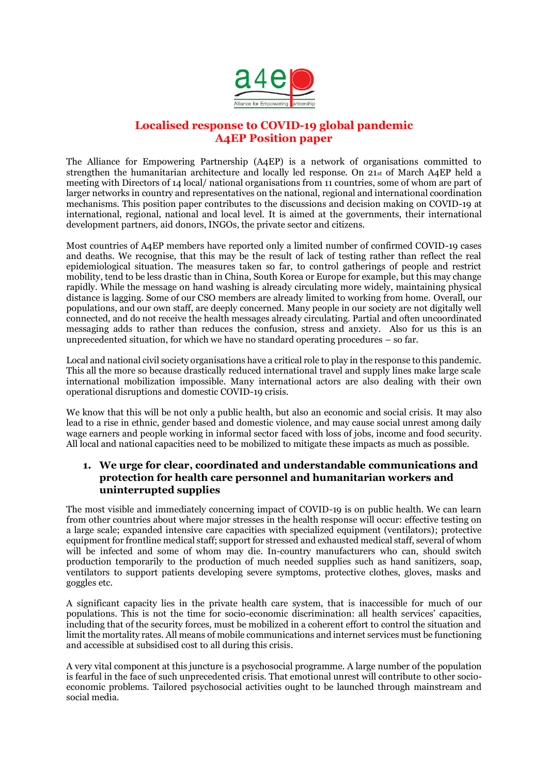

# **Localised response to COVID-19 global pandemic A4EP Position paper**

The Alliance for Empowering Partnership (A4EP) is a network of organisations committed to strengthen the humanitarian architecture and locally led response. On 21st of March A4EP held a meeting with Directors of 14 local/ national organisations from 11 countries, some of whom are part of larger networks in country and representatives on the national, regional and international coordination mechanisms. This position paper contributes to the discussions and decision making on COVID-19 at international, regional, national and local level. It is aimed at the governments, their international development partners, aid donors, INGOs, the private sector and citizens.

Most countries of A4EP members have reported only a limited number of confirmed COVID-19 cases and deaths. We recognise, that this may be the result of lack of testing rather than reflect the real epidemiological situation. The measures taken so far, to control gatherings of people and restrict mobility, tend to be less drastic than in China, South Korea or Europe for example, but this may change rapidly. While the message on hand washing is already circulating more widely, maintaining physical distance is lagging. Some of our CSO members are already limited to working from home. Overall, our populations, and our own staff, are deeply concerned. Many people in our society are not digitally well connected, and do not receive the health messages already circulating. Partial and often uncoordinated messaging adds to rather than reduces the confusion, stress and anxiety. Also for us this is an unprecedented situation, for which we have no standard operating procedures – so far.

Local and national civil society organisations have a critical role to play in the response to this pandemic. This all the more so because drastically reduced international travel and supply lines make large scale international mobilization impossible. Many international actors are also dealing with their own operational disruptions and domestic COVID-19 crisis.

We know that this will be not only a public health, but also an economic and social crisis. It may also lead to a rise in ethnic, gender based and domestic violence, and may cause social unrest among daily wage earners and people working in informal sector faced with loss of jobs, income and food security. All local and national capacities need to be mobilized to mitigate these impacts as much as possible.

### **1. We urge for clear, coordinated and understandable communications and protection for health care personnel and humanitarian workers and uninterrupted supplies**

The most visible and immediately concerning impact of COVID-19 is on public health. We can learn from other countries about where major stresses in the health response will occur: effective testing on a large scale; expanded intensive care capacities with specialized equipment (ventilators); protective equipment for frontline medical staff; support for stressed and exhausted medical staff, several of whom will be infected and some of whom may die. In-country manufacturers who can, should switch production temporarily to the production of much needed supplies such as hand sanitizers, soap, ventilators to support patients developing severe symptoms, protective clothes, gloves, masks and goggles etc.

A significant capacity lies in the private health care system, that is inaccessible for much of our populations. This is not the time for socio-economic discrimination: all health services' capacities, including that of the security forces, must be mobilized in a coherent effort to control the situation and limit the mortality rates. All means of mobile communications and internet services must be functioning and accessible at subsidised cost to all during this crisis.

A very vital component at this juncture is a psychosocial programme. A large number of the population is fearful in the face of such unprecedented crisis. That emotional unrest will contribute to other socioeconomic problems. Tailored psychosocial activities ought to be launched through mainstream and social media.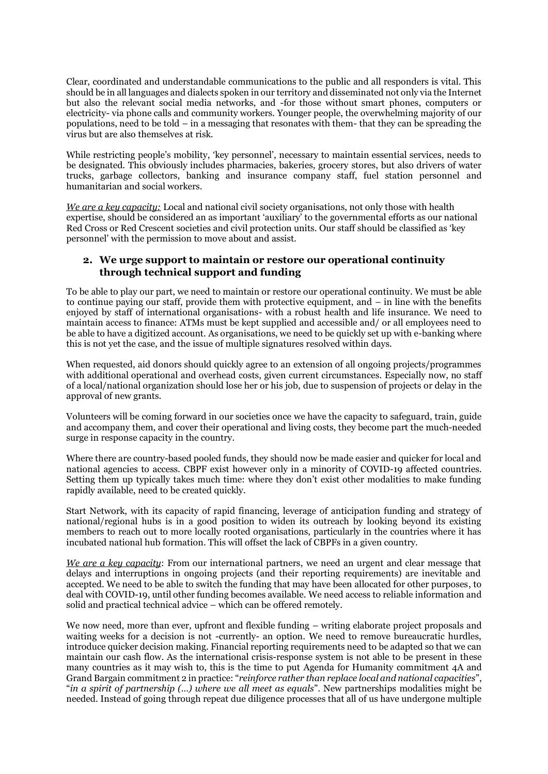Clear, coordinated and understandable communications to the public and all responders is vital. This should be in all languages and dialects spoken in our territory and disseminated not only via the Internet but also the relevant social media networks, and -for those without smart phones, computers or electricity- via phone calls and community workers. Younger people, the overwhelming majority of our populations, need to be told – in a messaging that resonates with them- that they can be spreading the virus but are also themselves at risk.

While restricting people's mobility, 'key personnel', necessary to maintain essential services, needs to be designated. This obviously includes pharmacies, bakeries, grocery stores, but also drivers of water trucks, garbage collectors, banking and insurance company staff, fuel station personnel and humanitarian and social workers.

*We are a key capacity:* Local and national civil society organisations, not only those with health expertise, should be considered an as important 'auxiliary' to the governmental efforts as our national Red Cross or Red Crescent societies and civil protection units. Our staff should be classified as 'key personnel' with the permission to move about and assist.

#### **2. We urge support to maintain or restore our operational continuity through technical support and funding**

To be able to play our part, we need to maintain or restore our operational continuity. We must be able to continue paying our staff, provide them with protective equipment, and – in line with the benefits enjoyed by staff of international organisations- with a robust health and life insurance. We need to maintain access to finance: ATMs must be kept supplied and accessible and/ or all employees need to be able to have a digitized account. As organisations, we need to be quickly set up with e-banking where this is not yet the case, and the issue of multiple signatures resolved within days.

When requested, aid donors should quickly agree to an extension of all ongoing projects/programmes with additional operational and overhead costs, given current circumstances. Especially now, no staff of a local/national organization should lose her or his job, due to suspension of projects or delay in the approval of new grants.

Volunteers will be coming forward in our societies once we have the capacity to safeguard, train, guide and accompany them, and cover their operational and living costs, they become part the much-needed surge in response capacity in the country.

Where there are country-based pooled funds, they should now be made easier and quicker for local and national agencies to access. CBPF exist however only in a minority of COVID-19 affected countries. Setting them up typically takes much time: where they don't exist other modalities to make funding rapidly available, need to be created quickly.

Start Network, with its capacity of rapid financing, leverage of anticipation funding and strategy of national/regional hubs is in a good position to widen its outreach by looking beyond its existing members to reach out to more locally rooted organisations, particularly in the countries where it has incubated national hub formation. This will offset the lack of CBPFs in a given country.

*We are a key capacity*: From our international partners, we need an urgent and clear message that delays and interruptions in ongoing projects (and their reporting requirements) are inevitable and accepted. We need to be able to switch the funding that may have been allocated for other purposes, to deal with COVID-19, until other funding becomes available. We need access to reliable information and solid and practical technical advice – which can be offered remotely.

We now need, more than ever, upfront and flexible funding – writing elaborate project proposals and waiting weeks for a decision is not -currently- an option. We need to remove bureaucratic hurdles, introduce quicker decision making. Financial reporting requirements need to be adapted so that we can maintain our cash flow. As the international crisis-response system is not able to be present in these many countries as it may wish to, this is the time to put Agenda for Humanity commitment 4A and Grand Bargain commitment 2 in practice: "*reinforce rather than replace local and national capacities*", "*in a spirit of partnership (…) where we all meet as equals*". New partnerships modalities might be needed. Instead of going through repeat due diligence processes that all of us have undergone multiple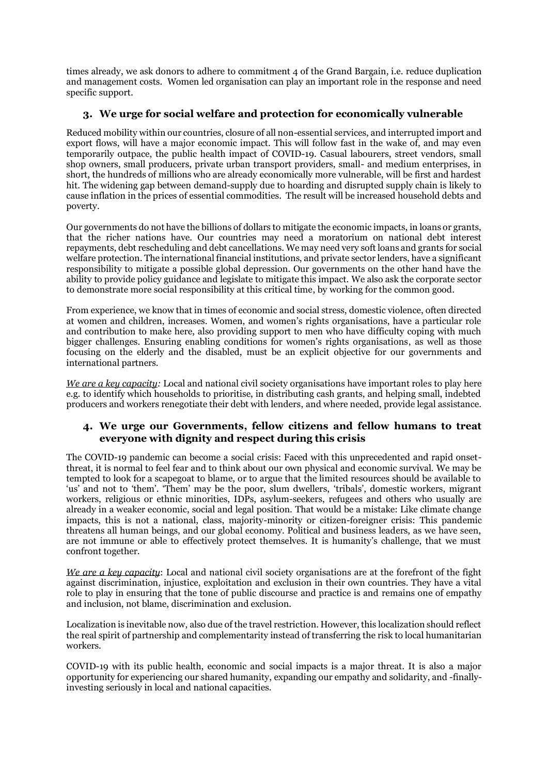times already, we ask donors to adhere to commitment 4 of the Grand Bargain, i.e. reduce duplication and management costs. Women led organisation can play an important role in the response and need specific support.

### **3. We urge for social welfare and protection for economically vulnerable**

Reduced mobility within our countries, closure of all non-essential services, and interrupted import and export flows, will have a major economic impact. This will follow fast in the wake of, and may even temporarily outpace, the public health impact of COVID-19. Casual labourers, street vendors, small shop owners, small producers, private urban transport providers, small- and medium enterprises, in short, the hundreds of millions who are already economically more vulnerable, will be first and hardest hit. The widening gap between demand-supply due to hoarding and disrupted supply chain is likely to cause inflation in the prices of essential commodities. The result will be increased household debts and poverty.

Our governments do not have the billions of dollars to mitigate the economic impacts, in loans or grants, that the richer nations have. Our countries may need a moratorium on national debt interest repayments, debt rescheduling and debt cancellations. We may need very soft loans and grants for social welfare protection. The international financial institutions, and private sector lenders, have a significant responsibility to mitigate a possible global depression. Our governments on the other hand have the ability to provide policy guidance and legislate to mitigate this impact. We also ask the corporate sector to demonstrate more social responsibility at this critical time, by working for the common good.

From experience, we know that in times of economic and social stress, domestic violence, often directed at women and children, increases. Women, and women's rights organisations, have a particular role and contribution to make here, also providing support to men who have difficulty coping with much bigger challenges. Ensuring enabling conditions for women's rights organisations, as well as those focusing on the elderly and the disabled, must be an explicit objective for our governments and international partners.

*We are a key capacity:* Local and national civil society organisations have important roles to play here e.g. to identify which households to prioritise, in distributing cash grants, and helping small, indebted producers and workers renegotiate their debt with lenders, and where needed, provide legal assistance.

### **4. We urge our Governments, fellow citizens and fellow humans to treat everyone with dignity and respect during this crisis**

The COVID-19 pandemic can become a social crisis: Faced with this unprecedented and rapid onsetthreat, it is normal to feel fear and to think about our own physical and economic survival. We may be tempted to look for a scapegoat to blame, or to argue that the limited resources should be available to 'us' and not to 'them'. 'Them' may be the poor, slum dwellers, 'tribals', domestic workers, migrant workers, religious or ethnic minorities, IDPs, asylum-seekers, refugees and others who usually are already in a weaker economic, social and legal position. That would be a mistake: Like climate change impacts, this is not a national, class, majority-minority or citizen-foreigner crisis: This pandemic threatens all human beings, and our global economy. Political and business leaders, as we have seen, are not immune or able to effectively protect themselves. It is humanity's challenge, that we must confront together.

*We are a key capacity*: Local and national civil society organisations are at the forefront of the fight against discrimination, injustice, exploitation and exclusion in their own countries. They have a vital role to play in ensuring that the tone of public discourse and practice is and remains one of empathy and inclusion, not blame, discrimination and exclusion.

Localization is inevitable now, also due of the travel restriction. However, this localization should reflect the real spirit of partnership and complementarity instead of transferring the risk to local humanitarian workers.

COVID-19 with its public health, economic and social impacts is a major threat. It is also a major opportunity for experiencing our shared humanity, expanding our empathy and solidarity, and -finallyinvesting seriously in local and national capacities.